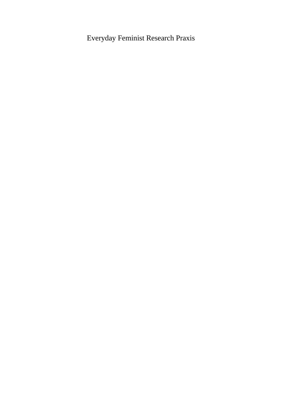## Everyday Feminist Research Praxis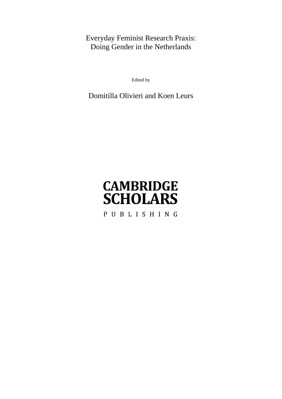## Everyday Feminist Research Praxis: Doing Gender in the Netherlands

Edited by

## Domitilla Olivieri and Koen Leurs

# **CAMBRIDGE SCHOLARS** PUBLISHING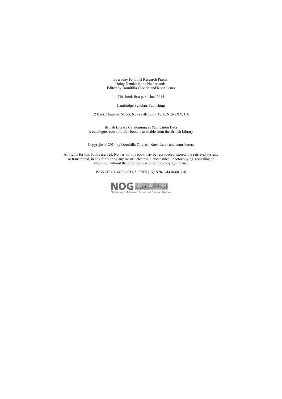Everyday Feminist Research Praxis: Doing Gender in the Netherlands, Edited by Domitilla Olivieri and Koen Leurs

This book first published 2014

Cambridge Scholars Publishing

12 Back Chapman Street, Newcastle upon Tyne, NE6 2XX, UK

British Library Cataloguing in Publication Data A catalogue record for this book is available from the British Library

Copyright © 2014 by Domitilla Olivieri, Koen Leurs and contributors

All rights for this book reserved. No part of this book may be reproduced, stored in a retrieval system, or transmitted, in any form or by any means, electronic, mechanical, photocopying, recording or otherwise, without the prior permission of the copyright owner.

ISBN (10): 1-4438-6011-5, ISBN (13): 978-1-4438-6011-6



Netherlands Research School of Gender Studies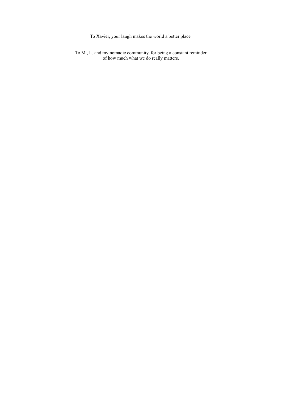To Xavier, your laugh makes the world a better place.

To M., L. and my nomadic community, for being a constant reminder of how much what we do really matters.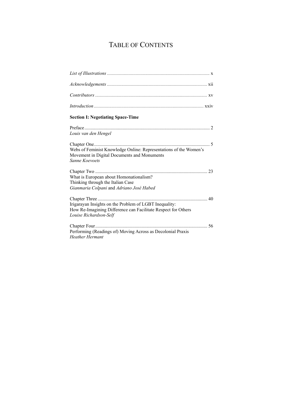## TABLE OF CONTENTS

| <b>Section I: Negotiating Space-Time</b>                                                                                                          |
|---------------------------------------------------------------------------------------------------------------------------------------------------|
| Louis van den Hengel                                                                                                                              |
| Webs of Feminist Knowledge Online: Representations of the Women's<br>Movement in Digital Documents and Monuments<br>Sanne Koevoets                |
| What is European about Homonationalism?<br>Thinking through the Italian Case<br>Gianmaria Colpani and Adriano José Habed                          |
| Irigarayan Insights on the Problem of LGBT Inequality:<br>How Re-Imagining Difference can Facilitate Respect for Others<br>Louise Richardson-Self |
| Chapter Four<br>Performing (Readings of) Moving Across as Decolonial Praxis<br><b>Heather Hermant</b>                                             |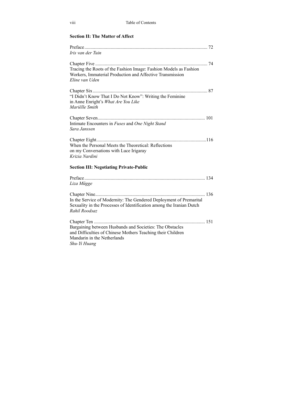### **Section II: The Matter of Affect**

| Iris van der Tuin                                                                                                                                                      |     |
|------------------------------------------------------------------------------------------------------------------------------------------------------------------------|-----|
| Tracing the Roots of the Fashion Image: Fashion Models as Fashion<br>Workers, Immaterial Production and Affective Transmission<br>Eline van Uden                       | 74  |
|                                                                                                                                                                        |     |
| "I Didn't Know That I Do Not Know": Writing the Feminine<br>in Anne Enright's What Are You Like<br>Mariëlle Smith                                                      |     |
| Intimate Encounters in Fuses and One Night Stand<br>Sara Janssen                                                                                                       |     |
| When the Personal Meets the Theoretical: Reflections<br>on my Conversations with Luce Irigaray<br>Krizia Nardini                                                       |     |
| <b>Section III: Negotiating Private-Public</b>                                                                                                                         |     |
| Liza Mügge                                                                                                                                                             |     |
| In the Service of Modernity: The Gendered Deployment of Premarital<br>Sexuality in the Processes of Identification among the Iranian Dutch<br>Rahil Roodsaz            | 136 |
| Bargaining between Husbands and Societies: The Obstacles<br>and Difficulties of Chinese Mothers Teaching their Children<br>Mandarin in the Netherlands<br>Shu-Yi Huang | 151 |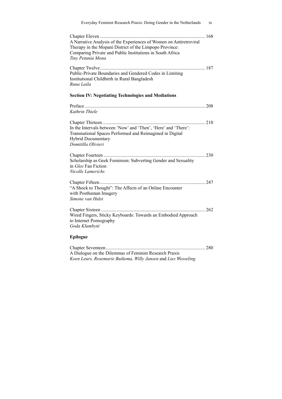| Everyday Feminist Research Praxis: Doing Gender in the Netherlands                                                                                                                                              | ix    |
|-----------------------------------------------------------------------------------------------------------------------------------------------------------------------------------------------------------------|-------|
| A Narrative Analysis of the Experiences of Women on Antiretroviral<br>Therapy in the Mopani District of the Limpopo Province:<br>Comparing Private and Public Institutions in South Africa<br>Tiny Petunia Mona | 168   |
| Public-Private Boundaries and Gendered Codes in Limiting<br>Institutional Childbirth in Rural Bangladesh<br>Runa Laila<br><b>Section IV: Negotiating Technologies and Mediations</b>                            |       |
|                                                                                                                                                                                                                 |       |
| Kathrin Thiele                                                                                                                                                                                                  |       |
| 210<br>In the Intervals between 'Now' and 'Then', 'Here' and 'There':<br>Transnational Spaces Performed and Reimagined in Digital<br><b>Hybrid Documentary</b><br>Domitilla Olivieri                            |       |
|                                                                                                                                                                                                                 |       |
| Scholarship as Geek Feminism: Subverting Gender and Sexuality<br>in <i>Glee</i> Fan Fiction<br>Nicolle Lamerichs                                                                                                |       |
| "A Shock to Thought": The Affects of an Online Encounter<br>with Posthuman Imagery<br>Simone van Hulst                                                                                                          |       |
| Wired Fingers, Sticky Keyboards: Towards an Embodied Approach<br>to Internet Pornography<br>Goda Klumbytė                                                                                                       | . 262 |
| <b>Epilogue</b>                                                                                                                                                                                                 |       |
|                                                                                                                                                                                                                 |       |

A Dialogue on the Dilemmas of Feminist Research Praxis *Koen Leurs, Rosemarie Buikema, Willy Jansen* and *Lies Wesseling*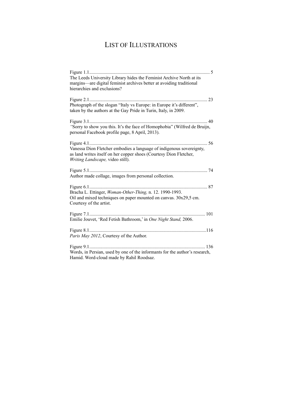## LIST OF ILLUSTRATIONS

| The Leeds University Library hides the Feminist Archive North at its<br>margins—are digital feminist archives better at avoiding traditional                                   |
|--------------------------------------------------------------------------------------------------------------------------------------------------------------------------------|
| hierarchies and exclusions?                                                                                                                                                    |
| Photograph of the slogan "Italy vs Europe: in Europe it's different",<br>taken by the authors at the Gay Pride in Turin, Italy, in 2009.                                       |
|                                                                                                                                                                                |
| "Sorry to show you this. It's the face of Homophobia" (Wilfred de Bruijn,<br>personal Facebook profile page, 8 April, 2013).                                                   |
| Vanessa Dion Fletcher embodies a language of indigenous sovereignty,<br>as land writes itself on her copper shoes (Courtesy Dion Fletcher,<br>Writing Landscape, video still). |
| Author made collage, images from personal collection.                                                                                                                          |
| Bracha L. Ettinger, Woman-Other-Thing, n. 12. 1990-1993.<br>Oil and mixed techniques on paper mounted on canvas. 30x29,5 cm.<br>Courtesy of the artist.                        |
| Figure 7.1<br>101<br>Emilie Jouvet, 'Red Fetish Bathroom,' in One Night Stand, 2006.                                                                                           |
| Paris May 2012, Courtesy of the Author.                                                                                                                                        |
| Words, in Persian, used by one of the informants for the author's research,<br>Hamid. Word-cloud made by Rahil Roodsaz.                                                        |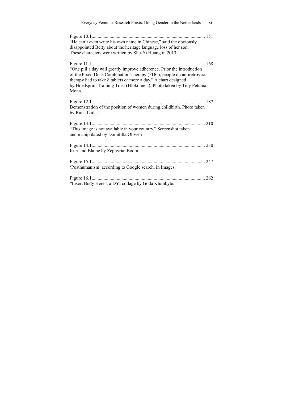| Everyday Feminist Research Praxis: Doing Gender in the Netherlands<br>xi                                                                                                                                                                                                                            |
|-----------------------------------------------------------------------------------------------------------------------------------------------------------------------------------------------------------------------------------------------------------------------------------------------------|
| "He can't even write his own name in Chinese," said the obviously<br>disappointed Betty about the heritage language loss of her son.<br>These characters were written by Shu-Yi Huang in 2013.                                                                                                      |
| "One pill a day will greatly improve adherence. Prior the introduction<br>of the Fixed Dose Combination Therapy (FDC), people on antiretroviral<br>therapy had to take 8 tablets or more a day." A chart designed<br>by Hoedspruit Training Trust (Hlokomela). Photo taken by Tiny Petunia<br>Mona. |
| Demonstration of the position of women during childbirth. Photo taken<br>by Runa Laila.                                                                                                                                                                                                             |
| "This image is not available in your country." Screenshot taken<br>and manipulated by Domitilla Olivieri.                                                                                                                                                                                           |
| Kurt and Blaine by ZephyrianBoom.                                                                                                                                                                                                                                                                   |
| 'Posthumanism' according to Google search, in Images.                                                                                                                                                                                                                                               |
| "Insert Body Here": a DYI collage by Goda Klumbytė.                                                                                                                                                                                                                                                 |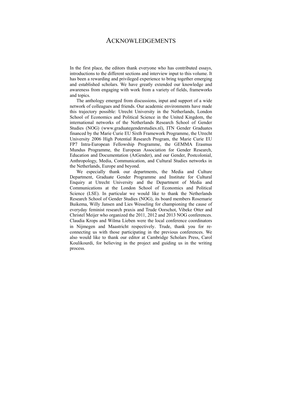### ACKNOWLEDGEMENTS

In the first place, the editors thank everyone who has contributed essays, introductions to the different sections and interview input to this volume. It has been a rewarding and privileged experience to bring together emerging and established scholars. We have greatly extended our knowledge and awareness from engaging with work from a variety of fields, frameworks and topics.

 The anthology emerged from discussions, input and support of a wide network of colleagues and friends. Our academic environments have made this trajectory possible: Utrecht University in the Netherlands, London School of Economics and Political Science in the United Kingdom, the international networks of the Netherlands Research School of Gender Studies (NOG) (www.graduategenderstudies.nl), ITN Gender Graduates financed by the Marie Curie EU Sixth Framework Programme, the Utrecht University 2006 High Potential Research Program, the Marie Curie EU FP7 Intra-European Fellowship Programme, the GEMMA Erasmus Mundus Programme, the European Association for Gender Research, Education and Documentation (AtGender), and our Gender, Postcolonial, Anthropology, Media, Communication, and Cultural Studies networks in the Netherlands, Europe and beyond.

We especially thank our departments, the Media and Culture Department, Graduate Gender Programme and Institute for Cultural Enquiry at Utrecht University and the Department of Media and Communications at the London School of Economics and Political Science (LSE). In particular we would like to thank the Netherlands Research School of Gender Studies (NOG), its board members Rosemarie Buikema, Willy Jansen and Lies Wesseling for championing the cause of everyday feminist research praxis and Trude Oorschot, Vibeke Otter and Christel Meijer who organized the 2011, 2012 and 2013 NOG conferences. Claudia Krops and Wilma Lieben were the local conference coordinators in Nijmegen and Maastricht respectively. Trude, thank you for reconnecting us with those participating in the previous conferences. We also would like to thank our editor at Cambridge Scholars Press, Carol Koulikourdi, for believing in the project and guiding us in the writing process.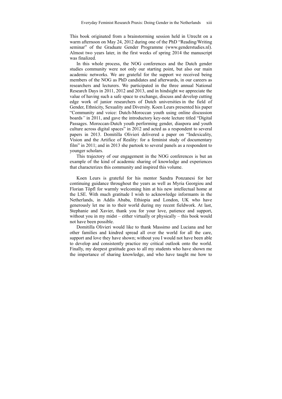This book originated from a brainstorming session held in Utrecht on a warm afternoon on May 24, 2012 during one of the PhD "Reading/Writing seminar" of the Graduate Gender Programme (www.genderstudies.nl). Almost two years later, in the first weeks of spring 2014 the manuscript was finalized.

In this whole process, the NOG conferences and the Dutch gender studies community were not only our starting point, but also our main academic networks. We are grateful for the support we received being members of the NOG as PhD candidates and afterwards, in our careers as researchers and lecturers. We participated in the three annual National Research Days in 2011, 2012 and 2013, and in hindsight we appreciate the value of having such a safe space to exchange, discuss and develop cutting edge work of junior researchers of Dutch universities in the field of Gender, Ethnicity, Sexuality and Diversity. Koen Leurs presented his paper "Community and voice: Dutch-Moroccan youth using online discussion boards*"* in 2011, and gave the introductory key-note lecture titled "Digital Passages. Moroccan-Dutch youth performing gender, diaspora and youth culture across digital spaces" in 2012 and acted as a respondent to several papers in 2013. Domitilla Olivieri delivered a paper on "Indexicality, Vision and the Artifice of Reality: for a feminist study of documentary film" in 2011; and in 2013 she partook to several panels as a respondent to younger scholars.

This trajectory of our engagement in the NOG conferences is but an example of the kind of academic sharing of knowledge and experiences that characterizes this community and inspired this volume.

 Koen Leurs is grateful for his mentor Sandra Ponzanesi for her continuing guidance throughout the years as well as Myria Georgiou and Florian Töpfl for warmly welcoming him at his new intellectual home at the LSE. With much gratitude I wish to acknowledge informants in the Netherlands, in Addis Ababa, Ethiopia and London, UK who have generously let me in to their world during my recent fieldwork. At last, Stephanie and Xavier, thank you for your love, patience and support, without you in my midst – either virtually or physically – this book would not have been possible.

 Domitilla Olivieri would like to thank Massimo and Luciana and her other families and kindred spread all over the world for all the care, support and love they have shown; without you I would not have been able to develop and consistently practice my critical outlook onto the world. Finally, my deepest gratitude goes to all my students who have shown me the importance of sharing knowledge, and who have taught me how to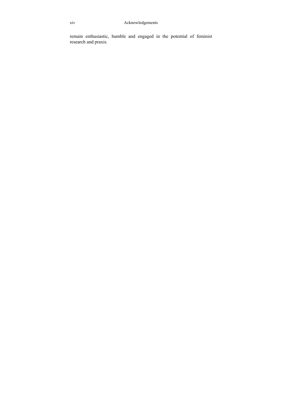remain enthusiastic, humble and engaged in the potential of feminist research and praxis.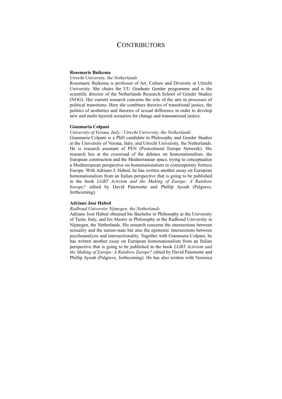## **CONTRIBUTORS**

#### **Rosemarie Buikema**

#### *Utrecht University, the Netherlands*

Rosemarie Buikema is professor of Art, Culture and Diversity at Utrecht University. She chairs the UU Graduate Gender programme and is the scientific director of the Netherlands Research School of Gender Studies (NOG). Her current research concerns the role of the arts in processes of political transitions. Here she combines theories of transitional justice, the politics of aesthetics and theories of sexual difference in order to develop new and multi-layered scenarios for change and transnational justice.

#### **Gianmaria Colpani**

#### *University of Verona, Italy / Utrecht University, the Netherlands*

Gianmaria Colpani is a PhD candidate in Philosophy and Gender Studies at the University of Verona, Italy, and Utrecht University, the Netherlands. He is research assistant of PEN (Postcolonial Europe Network). His research lies at the crossroad of the debates on homonationalism, the European construction and the Mediterranean space, trying to conceptualize a Mediterranean perspective on homonationalism in contemporary fortress Europe. With Adriano J. Habed, he has written another essay on European homonationalism from an Italian perspective that is going to be published in the book *LGBT Activism and the Making of Europe: A Rainbow Europe?* edited by David Paternotte and Phillip Ayoub (Palgrave, forthcoming).

#### **Adriano José Habed**

#### *Radboud University Nijmegen, the Netherlands*

Adriano José Habed obtained his Bachelor in Philosophy at the University of Turin, Italy, and his Master in Philosophy at the Radboud University in Nijmegen, the Netherlands. His research concerns the intersections between sexuality and the nation-state but also the epistemic intersections between psychoanalysis and intersectionality. Together with Gianmaria Colpani, he has written another essay on European homonationalism from an Italian perspective that is going to be published in the book *LGBT Activism and the Making of Europe: A Rainbow Europe?* edited by David Paternotte and Phillip Ayoub (Palgrave, forthcoming). He has also written with Veronica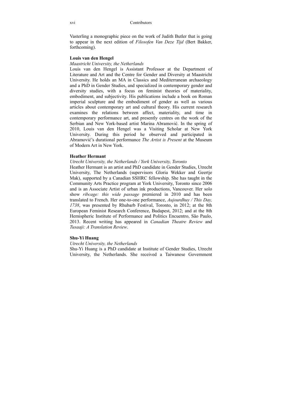Vasterling a monographic piece on the work of Judith Butler that is going to appear in the next edition of *Filosofen Van Deze Tijd* (Bert Bakker, forthcoming).

#### **Louis van den Hengel**

#### *Maastricht University, the Netherlands*

Louis van den Hengel is Assistant Professor at the Department of Literature and Art and the Centre for Gender and Diversity at Maastricht University. He holds an MA in Classics and Mediterranean archaeology and a PhD in Gender Studies, and specialized in contemporary gender and diversity studies, with a focus on feminist theories of materiality, embodiment, and subjectivity. His publications include a book on Roman imperial sculpture and the embodiment of gender as well as various articles about contemporary art and cultural theory. His current research examines the relations between affect, materiality, and time in contemporary performance art, and presently centres on the work of the Serbian and New York-based artist Marina Abramović. In the spring of 2010, Louis van den Hengel was a Visiting Scholar at New York University. During this period he observed and participated in Abramović's durational performance *The Artist is Present* at the Museum of Modern Art in New York.

#### **Heather Hermant**

#### *Utrecht University, the Netherlands / York University, Toronto*

Heather Hermant is an artist and PhD candidate in Gender Studies, Utrecht University, The Netherlands (supervisors Gloria Wekker and Geertje Mak), supported by a Canadian SSHRC fellowship. She has taught in the Community Arts Practice program at York University, Toronto since 2006 and is an Associate Artist of urban ink productions, Vancouver. Her solo show *ribcage: this wide passage* premiered in 2010 and has been translated to French. Her one-to-one performance, *Aujourdhuy / This Day, 1738*, was presented by Rhubarb Festival, Toronto, in 2012; at the 8th European Feminist Research Conference, Budapest, 2012; and at the 8th Hemispheric Institute of Performance and Politics Encuentro, São Paulo, 2013. Recent writing has appeared in *Canadian Theatre Review* and *Tusaaji: A Translation Review*.

#### **Shu-Yi Huang**

#### *Utrecht University, the Netherlands*

Shu-Yi Huang is a PhD candidate at Institute of Gender Studies, Utrecht University, the Netherlands. She received a Taiwanese Government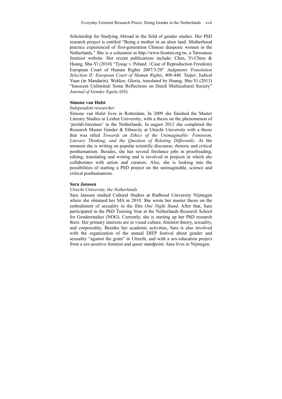Scholarship for Studying Abroad in the field of gender studies. Her PhD research project is entitled "Being a mother in an alien land: Motherhood practice experienced of first-generation Chinese diasporic women in the Netherlands." She is a columnist in http://www.frontier.org.tw, a Taiwanese feminist website. Her recent publications include: Chen, Yi-Chien & Huang, Shu-Yi (2010) "Tysiąc v. Poland (Case of Reproduction Freedom) European Court of Human Rights 2007/3/20" *Judgments Translation Selection II: European Court of Human Rights*, 408-440. Taipei: Judical Yuan (in Mandarin). Wekker, Gloria, translated by Huang, Shu-Yi (2013) "Innocent Unlimited: Some Reflections on Dutch Multicultural Society" *Journal of Gender Equity* (65).

#### **Simone van Hulst**

#### *Independent researcher*

Simone van Hulst lives in Rotterdam. In 2009 she finished the Master Literary Studies at Leiden University, with a thesis on the phenomenon of 'prefab-literature' in the Netherlands. In august 2012 she completed the Research Master Gender & Ethnicity at Utrecht University with a thesis that was titled *Towards an Ethics of the Unimaginable: Feminism, Literary Thinking, and the Question of Relating Differently*. At the moment she is writing on popular scientific discourse, rhetoric and critical posthumanism. Besides, she has several freelance jobs in proofreading, editing, translating and writing and is involved in projects in which she collaborates with artists and curators. Also, she is looking into the possibilities of starting a PhD project on the unimaginable, science and critical posthumanism.

#### **Sara Janssen**

#### *Utrecht University, the Netherlands*

Sara Janssen studied Cultural Studies at Radboud University Nijmegen where she obtained her MA in 2010. She wrote her master thesis on the embodiment of sexuality in the film *One Night Stand*. After that, Sara participated in the PhD Training Year at the Netherlands Research School for Genderstudies (NOG). Currently, she is starting up her PhD research there. Her primary interests are in visual culture, feminist theory, sexuality, and corporeality. Besides her academic activities, Sara is also involved with the organization of the annual DIEP festival about gender and sexuality "against the grain" in Utrecht, and with a sex-education project from a sex-positive feminist and queer standpoint. Sara lives in Nijmegen.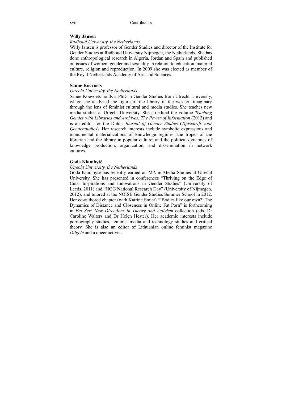#### **Willy Jansen**

#### *Radboud University, the Netherlands*

Willy Jansen is professor of Gender Studies and director of the Institute for Gender Studies at Radboud University Nijmegen, the Netherlands. She has done anthropological research in Algeria, Jordan and Spain and published on issues of women, gender and sexuality in relation to education, material culture, religion and reproduction. In 2009 she was elected as member of the Royal Netherlands Academy of Arts and Sciences.

#### **Sanne Koevoets**

#### *Utrecht University, the Netherlands*

Sanne Koevoets holds a PhD in Gender Studies from Utrecht University, where she analyzed the figure of the library in the western imaginary through the lens of feminist cultural and media studies. She teaches new media studies at Utrecht University. She co-edited the volume *Teaching Gender with Libraries and Archives: The Power of Information* (2013) and is an editor for the Dutch *Journal of Gender Studies* (*Tijdschrift voor Genderstudies*). Her research interests include symbolic expressions and monumental materializations of knowledge regimes, the tropes of the librarian and the library in popular culture, and the political dynamics of knowledge production, organization, and dissemination in network cultures.

#### **Goda Klumbytė**

#### *Utrecht University, the Netherlands*

Goda Klumbytė has recently earned an MA in Media Studies at Utrecht University. She has presented in conferences "Thriving on the Edge of Cuts: Inspirations and Innovations in Gender Studies" (University of Leeds, 2011) and "NOG National Research Day" (University of Nijmegen, 2012), and tutored at the NOISE Gender Studies Summer School in 2012. Her co-authored chapter (with Katrine Smiet) "'Bodies like our own?' The Dynamics of Distance and Closeness in Online Fat Porn" is forthcoming in *Fat Sex: New Directions in Theory and Activism* collection (eds. Dr Caroline Walters and Dr Helen Hester). Her academic interests include pornography studies, feminist media and technology studies and critical theory. She is also an editor of Lithuanian online feminist magazine *Dilgėlė* and a queer activist.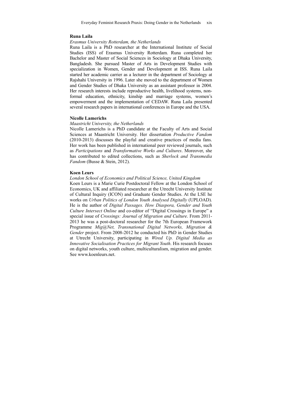Everyday Feminist Research Praxis: Doing Gender in the Netherlands xix

#### **Runa Laila**

#### *Erasmus University Rotterdam, the Netherlands*

Runa Laila is a PhD researcher at the International Institute of Social Studies (ISS) of Erasmus University Rotterdam. Runa completed her Bachelor and Master of Social Sciences in Sociology at Dhaka University, Bangladesh. She pursued Master of Arts in Development Studies with specialization in Women, Gender and Development at ISS. Runa Laila started her academic carrier as a lecturer in the department of Sociology at Rajshahi University in 1996. Later she moved to the department of Women and Gender Studies of Dhaka University as an assistant professor in 2004. Her research interests include reproductive health, livelihood systems, nonformal education, ethnicity, kinship and marriage systems, women's empowerment and the implementation of CEDAW. Runa Laila presented several research papers in international conferences in Europe and the USA.

#### **Nicolle Lamerichs**

#### *Maastricht University, the Netherlands*

Nicolle Lamerichs is a PhD candidate at the Faculty of Arts and Social Sciences at Maastricht University. Her dissertation *Productive Fandom* (2010-2013) discusses the playful and creative practices of media fans. Her work has been published in international peer reviewed journals, such as *Participations* and *Transformative Works and Cultures*. Moreover, she has contributed to edited collections, such as *Sherlock and Transmedia Fandom* (Busse & Stein, 2012).

#### **Koen Leurs**

#### *London School of Economics and Political Science, United Kingdom*

Koen Leurs is a Marie Curie Postdoctoral Fellow at the London School of Economics, UK and affiliated researcher at the Utrecht University Institute of Cultural Inquiry (ICON) and Graduate Gender Studies. At the LSE he works on *Urban Politics of London Youth Analysed Digitally* (UPLOAD). He is the author of *Digital Passages. How Diaspora, Gender and Youth Culture Intersect Online* and co-editor of "Digital Crossings in Europe" a special issue of *Crossings: Journal of Migration and Culture*. From 2011- 2013 he was a post-doctoral researcher for the 7th European Framework Programme *Mig@Net, Transnational Digital Networks, Migration & Gender* project. From 2008-2012 he conducted his PhD in Gender Studies at Utrecht University, participating in *Wired Up. Digital Media as Innovative Socialisation Practices for Migrant Youth*. His research focuses on digital networks, youth culture, multiculturalism, migration and gender. See www.koenleurs.net.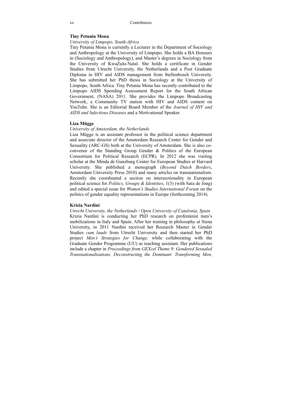#### **Tiny Petunia Mona**

#### *University of Limpopo, South-Africa*

Tiny Petunia Mona is currently a Lecturer in the Department of Sociology and Anthropology at the University of Limpopo. She holds a BA Honours in (Sociology and Anthropology), and Master's degrees in Sociology from the University of KwaZulu-Natal. She holds a certificate in Gender Studies from Utrecht University, the Netherlands and a Post Graduate Diploma in HIV and AIDS management from Stellenbosch University. She has submitted her PhD thesis in Sociology at the University of Limpopo, South Africa. Tiny Petunia Mona has recently contributed to the Limpopo AIDS Spending Assessment Report for the South African Government, (NASA) 2011. She provides the Limpopo Broadcasting Network, a Community TV station with HIV and AIDS content on YouTube. She is an Editorial Board Member of the *Journal of HIV and AIDS and Infectious Diseases* and a Motivational Speaker.

#### **Liza Mügge**

#### *University of Amsterdam, the Netherlands*

Liza Mügge is an assistant professor in the political science department and associate director of the Amsterdam Research Center for Gender and Sexuality (ARC-GS) both at the University of Amsterdam. She is also coconvenor of the Standing Group Gender & Politics of the European Consortium for Political Research (ECPR). In 2012 she was visiting scholar at the Minda de Gunzburg Center for European Studies at Harvard University. She published a monograph (*Beyond Dutch Borders*, Amsterdam University Press 2010) and many articles on transnationalism. Recently she coordinated a section on intersectionality in European political science for *Politics, Groups & Identities*, 1(3) (with Sara de Jong) and edited a special issue for *Women's Studies International Forum* on the politics of gender equality representations in Europe (forthcoming 2014).

#### **Krizia Nardini**

*Utrecht University, the Netherlands / Open University of Catalonia, Spain* Krizia Nardini is conducting her PhD research on profeminist men's mobilizations in Italy and Spain. After her training in philosophy at Siena University, in 2011 Nardini received her Research Master in Gender Studies *cum laude* from Utrecht University and then started her PhD project *Men's Strategies for Change,* while collaborating with the Graduate Gender Programme (UU) as teaching assistant. Her publications include a chapter in *Proceedings from GEXcel Theme 9: Gendered Sexualed Transnationalisations, Deconstructing the Dominant: Transforming Men,*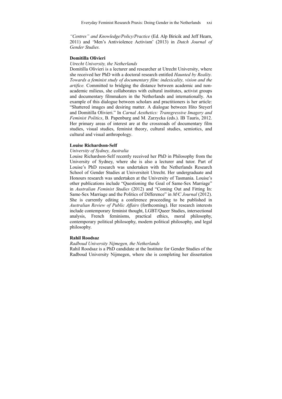*"Centres" and Knowledge/Policy/Practice* (Ed. Alp Biricik and Jeff Hearn, 2011) and 'Men's Antiviolence Activism' (2013) in *Dutch Journal of Gender Studies.* 

#### **Domitilla Olivieri**

#### *Utrecht University, the Netherlands*

Domitilla Olivieri is a lecturer and researcher at Utrecht University, where she received her PhD with a doctoral research entitled *Haunted by Reality. Towards a feminist study of documentary film: indexicality, vision and the artifice.* Committed to bridging the distance between academic and nonacademic milieus, she collaborates with cultural institutes, activist groups and documentary filmmakers in the Netherlands and internationally. An example of this dialogue between scholars and practitioners is her article: "Shattered images and desiring matter. A dialogue between Hito Steyerl and Domitilla Olivieri." In *Carnal Aesthetics: Transgressive Imagery and Feminist Politics*, B. Papenburg and M. Zarzycka (eds.). IB Tauris, 2012. Her primary areas of interest are at the crossroads of documentary film studies, visual studies, feminist theory, cultural studies, semiotics, and cultural and visual anthropology.

#### **Louise Richardson-Self**

#### *University of Sydney, Australia*

Louise Richardson-Self recently received her PhD in Philosophy from the University of Sydney, where she is also a lecturer and tutor. Part of Louise's PhD research was undertaken with the Netherlands Research School of Gender Studies at Universiteit Utrecht. Her undergraduate and Honours research was undertaken at the University of Tasmania. Louise's other publications include "Questioning the Goal of Same-Sex Marriage" in *Australian Feminist Studies* (2012) and "Coming Out and Fitting In: Same-Sex Marriage and the Politics of Difference" in *M/C Journal* (2012). She is currently editing a conference proceeding to be published in *Australian Review of Public Affairs* (forthcoming). Her research interests include contemporary feminist thought, LGBT/Queer Studies, intersectional analysis, French feminisms, practical ethics, moral philosophy, contemporary political philosophy, modern political philosophy, and legal philosophy.

#### **Rahil Roodsaz**

#### *Radboud University Nijmegen, the Netherlands*

Rahil Roodsaz is a PhD candidate at the Institute for Gender Studies of the Radboud University Nijmegen, where she is completing her dissertation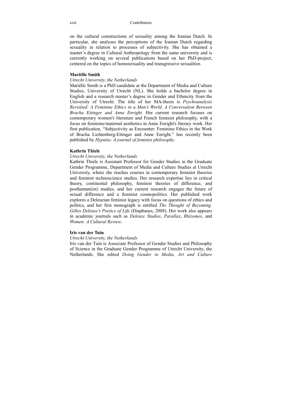on the cultural constructions of sexuality among the Iranian Dutch. In particular, she analyses the perceptions of the Iranian Dutch regarding sexuality in relation to processes of subjectivity. She has obtained a master's degree in Cultural Anthropology from the same university and is currently working on several publications based on her PhD-project, centered on the topics of homosexuality and transgressive sexualities

#### **Mariëlle Smith**

#### *Utrecht University, the Netherlands*

Mariëlle Smith is a PhD candidate at the Department of Media and Culture Studies, University of Utrecht (NL). She holds a bachelor degree in English and a research master's degree in Gender and Ethnicity from the University of Utrecht. The title of her MA-thesis is *Psychoanalysis Revisited: A Feminine Ethics in a Man's World. A Conversation Between Bracha Ettinger and Anne Enright*. Her current research focuses on contemporary women's literature and French feminist philosophy, with a focus on feminine/maternal aesthetics in Anne Enright's literary work. Her first publication, "Subjectivity as Encounter: Feminine Ethics in the Work of Bracha Lichtenberg-Ettinger and Anne Enright," has recently been published by *Hypatia: A journal of feminist philosophy*.

#### **Kathrin Thiele**

#### *Utrecht University, the Netherlands*

Kathrin Thiele is Assistant Professor for Gender Studies in the Graduate Gender Programme, Department of Media and Culture Studies at Utrecht University, where she teaches courses in contemporary feminist theories and feminist technoscience studies. Her research expertise lies in critical theory, continental philosophy, feminist theories of difference, and posthuman(ist) studies, and her current research engages the future of sexual difference and a feminist cosmopolitics. Her published work explores a Deleuzian feminist legacy with focus on questions of ethics and politics, and her first monograph is entitled *The Thought of Becoming. Gilles Deleuze's Poetics of Life* (Diaphanes, 2008). Her work also appears in academic journals such as *Deleuze Studies*, *Parallax*, *Rhizomes*, and *Women: A Cultural Review*.

#### **Iris van der Tuin**

#### *Utrecht University, the Netherlands*

Iris van der Tuin is Associate Professor of Gender Studies and Philosophy of Science in the Graduate Gender Programme of Utrecht University, the Netherlands. She edited *Doing Gender in Media, Art and Culture*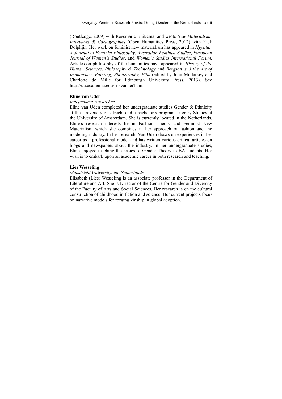(Routledge, 2009) with Rosemarie Buikema, and wrote *New Materialism: Interviews & Cartographie*s (Open Humanities Press, 2012) with Rick Dolphijn. Her work on feminist new materialism has appeared in *Hypatia: A Journal of Feminist Philosophy*, *Australian Feminist Studies*, *European Journal of Women's Studies*, and *Women's Studies International Forum*. Articles on philosophy of the humanities have appeared in *History of the Human Sciences*, *Philosophy & Technology* and *Bergson and the Art of Immanence: Painting, Photography, Film* (edited by John Mullarkey and Charlotte de Mille for Edinburgh University Press, 2013). See http://uu.academia.edu/IrisvanderTuin.

#### **Eline van Uden**

#### *Independent researcher*

Eline van Uden completed her undergraduate studies Gender & Ethnicity at the University of Utrecht and a bachelor's program Literary Studies at the University of Amsterdam. She is currently located in the Netherlands. Eline's research interests lie in Fashion Theory and Feminist New Materialism which she combines in her approach of fashion and the modeling industry. In her research, Van Uden draws on experiences in her career as a professional model and has written various critical articles on blogs and newspapers about the industry. In her undergraduate studies, Eline enjoyed teaching the basics of Gender Theory to BA students. Her wish is to embark upon an academic career in both research and teaching.

#### **Lies Wesseling**

#### *Maastricht University, the Netherlands*

Elisabeth (Lies) Wesseling is an associate professor in the Department of Literature and Art. She is Director of the Centre for Gender and Diversity of the Faculty of Arts and Social Sciences. Her research is on the cultural construction of childhood in fiction and science. Her current projects focus on narrative models for forging kinship in global adoption.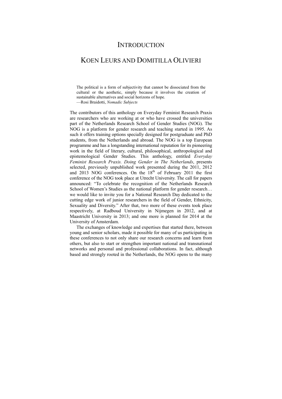### **INTRODUCTION**

## KOEN LEURS AND DOMITILLA OLIVIERI

The political is a form of subjectivity that cannot be dissociated from the cultural or the aesthetic, simply because it involves the creation of sustainable alternatives and social horizons of hope. —Rosi Braidotti, *Nomadic Subjects*

The contributors of this anthology on Everyday Feminist Research Praxis are researchers who are working at or who have crossed the universities part of the Netherlands Research School of Gender Studies (NOG). The NOG is a platform for gender research and teaching started in 1995. As such it offers training options specially designed for postgraduate and PhD students, from the Netherlands and abroad. The NOG is a top European programme and has a longstanding international reputation for its pioneering work in the field of literary, cultural, philosophical, anthropological and epistemological Gender Studies. This anthology, entitled *Everyday Feminist Research Praxis. Doing Gender in The Netherlands*, presents selected, previously unpublished work presented during the 2011, 2012 and  $2013$  NOG conferences. On the  $18<sup>th</sup>$  of February 2011 the first conference of the NOG took place at Utrecht University. The call for papers announced: "To celebrate the recognition of the Netherlands Research School of Women's Studies as the national platform for gender research... we would like to invite you for a National Research Day dedicated to the cutting edge work of junior researchers in the field of Gender, Ethnicity, Sexuality and Diversity." After that, two more of these events took place respectively, at Radboud University in Nijmegen in 2012, and at Maastricht University in 2013; and one more is planned for 2014 at the University of Amsterdam.

The exchanges of knowledge and expertises that started there, between young and senior scholars, made it possible for many of us participating in these conferences to not only share our research concerns and learn from others, but also to start or strengthen important national and transnational networks and personal and professional collaborations. In fact, although based and strongly rooted in the Netherlands, the NOG opens to the many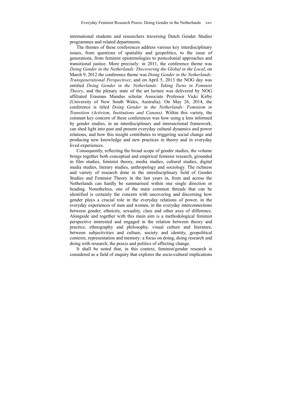international students and researchers traversing Dutch Gender Studies programmes and related departments.

The themes of these conferences address various key interdisciplinary issues, from questions of spatiality and geopolitics, to the issue of generations, from feminist epistemologies to postcolonial approaches and transitional justice. More precisely: in 2011, the conference theme was *Doing Gender in the Netherlands: Discovering the Global in the Local*; on March 9, 2012 the conference theme was *Doing Gender in the Netherlands: Transgenerational Perspectives*; and on April 5, 2013 the NOG day was entitled *Doing Gender in the Netherlands: Taking Turns in Feminist Theory*, and the plenary state of the art lecture was delivered by NOG affiliated Erasmus Mundus scholar Associate Professor Vicki Kirby (University of New South Wales, Australia). On May 26, 2014, the conference is titled *Doing Gender in the Netherlands: Feminism in Transition (Activism, Institutions and Canons)*. Within this variety, the constant key concern of these conferences was how using a lens informed by gender studies, in an interdisciplinary and intersectional framework, can shed light into past and present everyday cultural dynamics and power relations, and how this insight contributes to triggering social change and producing new knowledge and new practices in theory and in everyday lived experiences.

Consequently, reflecting the broad scope of gender studies, the volume brings together both conceptual and empirical feminist research, grounded in film studies, feminist theory, media studies, cultural studies, digital media studies, literary studies, anthropology and sociology. The richness and variety of research done in the interdisciplinary field of Gender Studies and Feminist Theory in the last years in, from and across the Netherlands can hardly be summarised within one single direction or heading. Nonetheless, one of the main common threads that can be identified is certainly the concern with uncovering and discerning how gender plays a crucial role in the everyday relations of power, in the everyday experiences of men and women, in the everyday interconnections between gender, ethnicity, sexuality, class and other axes of difference. Alongside and together with this main aim is a methodological feminist perspective interested and engaged in the relation between theory and practice, ethnography and philosophy, visual culture and literature, between subjectivities and culture, society and identity, geopolitical contexts, representation and memory: a focus on doing, doing research and doing with research; the praxis and politics of affecting change.

It shall be noted that, in this context, feminist/gender research is considered as a field of enquiry that explores the socio-cultural implications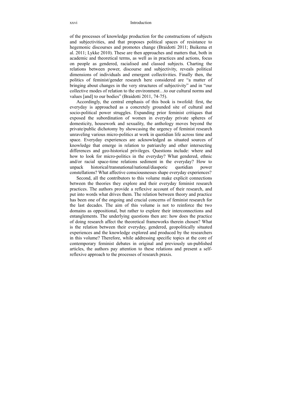of the processes of knowledge production for the constructions of subjects and subjectivities, and that proposes political spaces of resistance to hegemonic discourses and promotes change (Braidotti 2011; Buikema et al. 2011; Lykke 2010). These are then approaches and matters that, both in academic and theoretical terms, as well as in practices and actions, focus on people as gendered, racialised and classed subjects. Charting the relations between power, discourse and subjectivity, reveals political dimensions of individuals and emergent collectivities. Finally then, the politics of feminist/gender research here considered are "a matter of bringing about changes in the very structures of subjectivity" and in "our collective modes of relation to the environment…to our cultural norms and values [and] to our bodies" (Braidotti 2011, 74-75).

Accordingly, the central emphasis of this book is twofold: first, the everyday is approached as a concretely grounded site of cultural and socio-political power struggles. Expanding prior feminist critiques that exposed the subordination of women in everyday private spheres of domesticity, housework and sexuality, the anthology moves beyond the private/public dichotomy by showcasing the urgency of feminist research unraveling various micro-politics at work in quotidian life across time and space. Everyday experiences are acknowledged as situated sources of knowledge that emerge in relation to patriarchy and other intersecting differences and geo-historical privileges. Questions include: where and how to look for micro-politics in the everyday? What gendered, ethnic and/or racial space-time relations sediment in the everyday? How to unpack historical/transnational/national/diasporic quotidian power constellations? What affective consciousnesses shape everyday experiences?

Second, all the contributors to this volume make explicit connections between the theories they explore and their everyday feminist research practices. The authors provide a reflexive account of their research, and put into words what drives them. The relation between theory and practice has been one of the ongoing and crucial concerns of feminist research for the last decades. The aim of this volume is not to reinforce the two domains as oppositional, but rather to explore their interconnections and entanglements. The underlying questions then are: how does the practice of doing research affect the theoretical frameworks therein chosen? What is the relation between their everyday, gendered, geopolitically situated experiences and the knowledge explored and produced by the researchers in this volume? Therefore, while addressing specific topics at the core of contemporary feminist debates in original and previously un-published articles, the authors pay attention to these relations and present a selfreflexive approach to the processes of research praxis.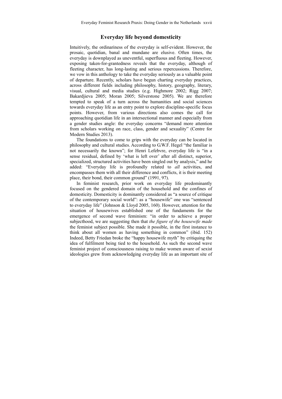Everyday Feminist Research Praxis: Doing Gender in the Netherlands xxvii

#### **Everyday life beyond domesticity**

Intuitively, the ordinariness of the everyday is self-evident. However, the prosaic, quotidian, banal and mundane are elusive. Often times, the everyday is downplayed as uneventful, superfluous and fleeting. However, exposing taken-for-grantedness reveals that the everyday, although of fleeting character, has long-lasting and serious repercussions. Therefore, we vow in this anthology to take the everyday seriously as a valuable point of departure. Recently, scholars have begun charting everyday practices, across different fields including philosophy, history, geography, literary, visual, cultural and media studies (e.g. Highmore 2002; Rigg 2007; Bakardjieva 2005; Moran 2005; Silverstone 2005). We are therefore tempted to speak of a turn across the humanities and social sciences towards everyday life as an entry point to explore discipline-specific focus points. However, from various directions also comes the call for approaching quotidian life in an intersectional manner and especially from a gender studies angle: the everyday concerns "demand more attention from scholars working on race, class, gender and sexuality" (Centre for Modern Studies 2013).

The foundations to come to grips with the everyday can be located in philosophy and cultural studies. According to G.W.F. Hegel "the familiar is not necessarily the known"; for Henri Lefebvre, everyday life is "in a sense residual, defined by 'what is left over' after all distinct, superior, specialized, structured activities have been singled out by analysis," and he added: "Everyday life is profoundly related to *all* activities, and encompasses them with all their difference and conflicts, it is their meeting place, their bond, their common ground" (1991, 97).

In feminist research, prior work on everyday life predominantly focused on the gendered domain of the household and the confines of domesticity. Domesticity is dominantly considered as "a source of critique of the contemporary social world": as a "housewife" one was "sentenced to everyday life" (Johnson & Lloyd 2005, 160). However, attention for the situation of housewives established one of the fundaments for the emergence of second wave feminism: "in order to achieve a proper subjecthood, we are suggesting then that *the figure of the housewife made* the feminist subject possible. She made it possible, in the first instance to think about all women as having something in common" (ibid. 152) Indeed, Betty Friedan broke the "happy housewife myth" by critiquing the idea of fulfilment being tied to the household. As such the second wave feminist project of consciousness raising to make women aware of sexist ideologies grew from acknowledging everyday life as an important site of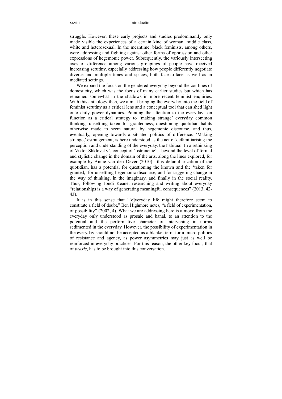#### xxviii Introduction

struggle. However, these early projects and studies predominantly only made visible the experiences of a certain kind of woman: middle class, white and heterosexual. In the meantime, black feminists, among others, were addressing and fighting against other forms of oppression and other expressions of hegemonic power. Subsequently, the variously intersecting axes of difference among various groupings of people have received increasing scrutiny, especially addressing how people differently negotiate diverse and multiple times and spaces, both face-to-face as well as in mediated settings.

We expand the focus on the gendered everyday beyond the confines of domesticity, which was the focus of many earlier studies but which has remained somewhat in the shadows in more recent feminist enquiries. With this anthology then, we aim at bringing the everyday into the field of feminist scrutiny as a critical lens and a conceptual tool that can shed light onto daily power dynamics. Pointing the attention to the everyday can function as a critical strategy to 'making strange' everyday common thinking, unsettling taken for grantedness, questioning quotidian habits otherwise made to seem natural by hegemonic discourse, and thus, eventually, opening towards a situated politics of difference. 'Making strange,' estrangement, is here understood as the act of defamiliarising the perception and understanding of the everyday, the habitual. In a rethinking of Viktor Shklovsky's concept of 'ostranenie'—beyond the level of formal and stylistic change in the domain of the arts, along the lines explored, for example by Annie van den Oever (2010)—this defamiliarization of the quotidian, has a potential for questioning the known and the 'taken for granted,' for unsettling hegemonic discourse, and for triggering change in the way of thinking, in the imaginary, and finally in the social reality. Thus, following Jondi Keane, researching and writing about everyday "relationships is a way of generating meaningful consequences" (2013, 42- 43).

It is in this sense that "[e]veryday life might therefore seem to constitute a field of doubt," Ben Highmore notes, "a field of experimentation, of possibility" (2002, 4). What we are addressing here is a move from the everyday only understood as prosaic and banal, to an attention to the potential and the performative character of intervening in norms sedimented in the everyday. However, the possibility of experimentation in the everyday should not be accepted as a blanket term for a micro-politics of resistance and agency, as power asymmetries may just as well be reinforced in everyday practices. For this reason, the other key focus, that of *praxis*, has to be brought into this conversation.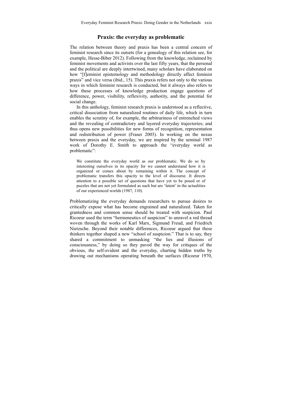Everyday Feminist Research Praxis: Doing Gender in the Netherlands xxix

#### **Praxis: the everyday as problematic**

The relation between theory and praxis has been a central concern of feminist research since its outsets (for a genealogy of this relation see, for example, Hesse-Biber 2012). Following from the knowledge, reclaimed by feminist movements and activists over the last fifty years, that the personal and the political are deeply intertwined, many scholars have elaborated on how "[f]eminist epistemology and methodology directly affect feminist praxis" and vice versa (ibid., 15). This praxis refers not only to the various ways in which feminist research is conducted, but it always also refers to how these processes of knowledge production engage questions of difference, power, visibility, reflexivity, authority, and the potential for social change.

In this anthology, feminist research praxis is understood as a reflective, critical dissociation from naturalized routines of daily life, which in turn enables the scrutiny of, for example, the arbitrariness of entrenched views and the revealing of contradictory and layered everyday trajectories; and thus opens new possibilities for new forms of recognition, representation and redistribution of power (Fraser 2003). In working on the nexus between praxis and the everyday, we are inspired by the seminal 1987 work of Dorothy E. Smith to approach the "everyday world as problematic":

We constitute the everyday world as our problematic. We do so by interesting ourselves in its opacity for we cannot understand how it is organized or comes about by remaining within it. The concept of problematic transfers this opacity to the level of discourse. It directs attention to a possible set of questions that have yet to be posed or of puzzles that are not yet formulated as such but are 'latent' in the actualities of our experienced worlds (1987, 110).

Problematizing the everyday demands researchers to pursue desires to critically expose what has become engrained and naturalized. Taken for grantedness and common sense should be treated with suspicion. Paul Ricoeur used the term "hermeneutics of suspicion" to unravel a red thread woven through the works of Karl Marx, Sigmund Freud, and Friedrich Nietzsche. Beyond their notable differences, Ricoeur argued that these thinkers together shaped a new "school of suspicion." That is to say, they shared a commitment to unmasking "the lies and illusions of consciousness," by doing so they paved the way for critiques of the obvious, the self-evident and the everyday, charting hidden truths by drawing out mechanisms operating beneath the surfaces (Ricoeur 1970,